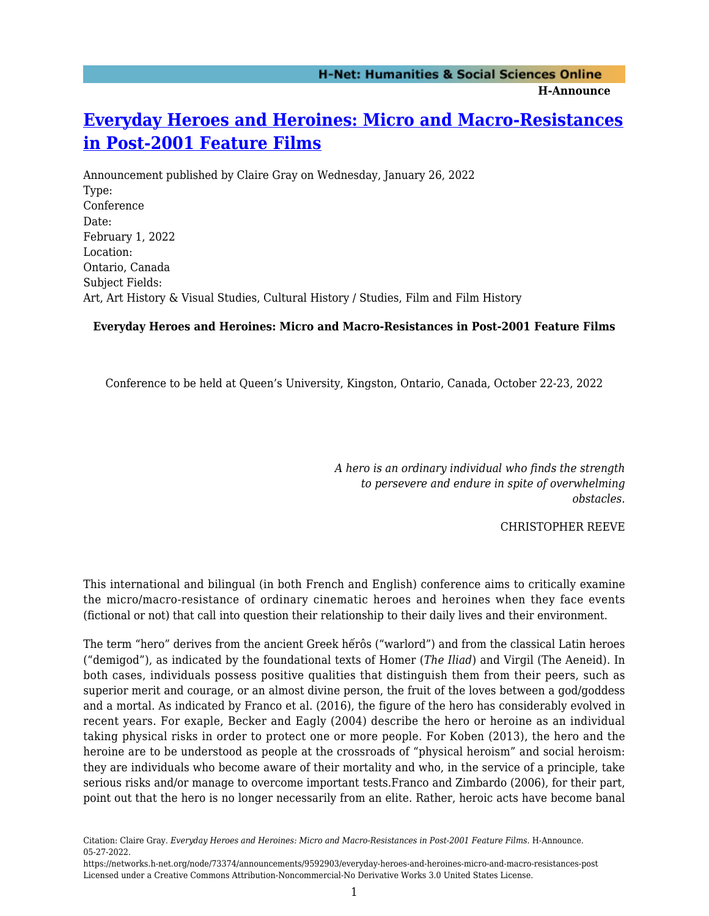# **[Everyday Heroes and Heroines: Micro and Macro-Resistances](https://networks.h-net.org/node/73374/announcements/9592903/everyday-heroes-and-heroines-micro-and-macro-resistances-post) [in Post-2001 Feature Films](https://networks.h-net.org/node/73374/announcements/9592903/everyday-heroes-and-heroines-micro-and-macro-resistances-post)**

Announcement published by Claire Gray on Wednesday, January 26, 2022 Type: Conference Date: February 1, 2022 Location: Ontario, Canada Subject Fields: Art, Art History & Visual Studies, Cultural History / Studies, Film and Film History

### **Everyday Heroes and Heroines: Micro and Macro-Resistances in Post-2001 Feature Films**

Conference to be held at Queen's University, Kingston, Ontario, Canada, October 22-23, 2022

*A hero is an ordinary individual who finds the strength to persevere and endure in spite of overwhelming obstacles.*

CHRISTOPHER REEVE

This international and bilingual (in both French and English) conference aims to critically examine the micro/macro-resistance of ordinary cinematic heroes and heroines when they face events (fictional or not) that call into question their relationship to their daily lives and their environment.

The term "hero" derives from the ancient Greek hếrôs ("warlord") and from the classical Latin heroes ("demigod"), as indicated by the foundational texts of Homer (*The Iliad*) and Virgil (The Aeneid). In both cases, individuals possess positive qualities that distinguish them from their peers, such as superior merit and courage, or an almost divine person, the fruit of the loves between a god/goddess and a mortal. As indicated by Franco et al. (2016), the figure of the hero has considerably evolved in recent years. For exaple, Becker and Eagly (2004) describe the hero or heroine as an individual taking physical risks in order to protect one or more people. For Koben (2013), the hero and the heroine are to be understood as people at the crossroads of "physical heroism" and social heroism: they are individuals who become aware of their mortality and who, in the service of a principle, take serious risks and/or manage to overcome important tests.Franco and Zimbardo (2006), for their part, point out that the hero is no longer necessarily from an elite. Rather, heroic acts have become banal

Citation: Claire Gray. *Everyday Heroes and Heroines: Micro and Macro-Resistances in Post-2001 Feature Films*. H-Announce. 05-27-2022.

https://networks.h-net.org/node/73374/announcements/9592903/everyday-heroes-and-heroines-micro-and-macro-resistances-post Licensed under a Creative Commons Attribution-Noncommercial-No Derivative Works 3.0 United States License.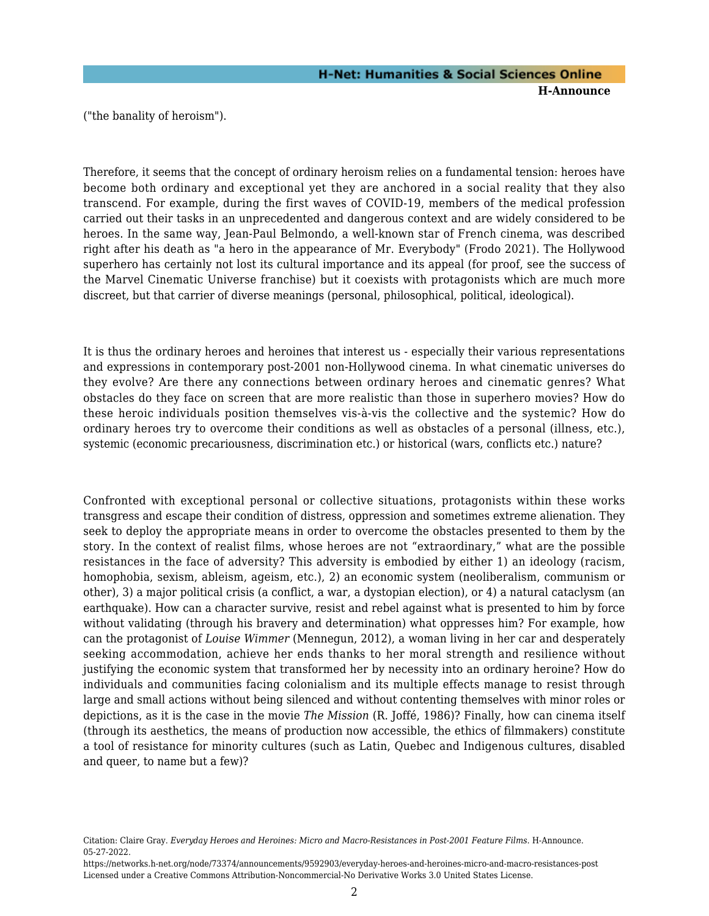("the banality of heroism").

Therefore, it seems that the concept of ordinary heroism relies on a fundamental tension: heroes have become both ordinary and exceptional yet they are anchored in a social reality that they also transcend. For example, during the first waves of COVID-19, members of the medical profession carried out their tasks in an unprecedented and dangerous context and are widely considered to be heroes. In the same way, Jean-Paul Belmondo, a well-known star of French cinema, was described right after his death as "a hero in the appearance of Mr. Everybody" (Frodo 2021). The Hollywood superhero has certainly not lost its cultural importance and its appeal (for proof, see the success of the Marvel Cinematic Universe franchise) but it coexists with protagonists which are much more discreet, but that carrier of diverse meanings (personal, philosophical, political, ideological).

It is thus the ordinary heroes and heroines that interest us - especially their various representations and expressions in contemporary post-2001 non-Hollywood cinema. In what cinematic universes do they evolve? Are there any connections between ordinary heroes and cinematic genres? What obstacles do they face on screen that are more realistic than those in superhero movies? How do these heroic individuals position themselves vis-à-vis the collective and the systemic? How do ordinary heroes try to overcome their conditions as well as obstacles of a personal (illness, etc.), systemic (economic precariousness, discrimination etc.) or historical (wars, conflicts etc.) nature?

Confronted with exceptional personal or collective situations, protagonists within these works transgress and escape their condition of distress, oppression and sometimes extreme alienation. They seek to deploy the appropriate means in order to overcome the obstacles presented to them by the story. In the context of realist films, whose heroes are not "extraordinary," what are the possible resistances in the face of adversity? This adversity is embodied by either 1) an ideology (racism, homophobia, sexism, ableism, ageism, etc.), 2) an economic system (neoliberalism, communism or other), 3) a major political crisis (a conflict, a war, a dystopian election), or 4) a natural cataclysm (an earthquake). How can a character survive, resist and rebel against what is presented to him by force without validating (through his bravery and determination) what oppresses him? For example, how can the protagonist of *Louise Wimmer* (Mennegun, 2012), a woman living in her car and desperately seeking accommodation, achieve her ends thanks to her moral strength and resilience without justifying the economic system that transformed her by necessity into an ordinary heroine? How do individuals and communities facing colonialism and its multiple effects manage to resist through large and small actions without being silenced and without contenting themselves with minor roles or depictions, as it is the case in the movie *The Mission* (R. Joffé, 1986)? Finally, how can cinema itself (through its aesthetics, the means of production now accessible, the ethics of filmmakers) constitute a tool of resistance for minority cultures (such as Latin, Quebec and Indigenous cultures, disabled and queer, to name but a few)?

Citation: Claire Gray. *Everyday Heroes and Heroines: Micro and Macro-Resistances in Post-2001 Feature Films*. H-Announce. 05-27-2022.

https://networks.h-net.org/node/73374/announcements/9592903/everyday-heroes-and-heroines-micro-and-macro-resistances-post Licensed under a Creative Commons Attribution-Noncommercial-No Derivative Works 3.0 United States License.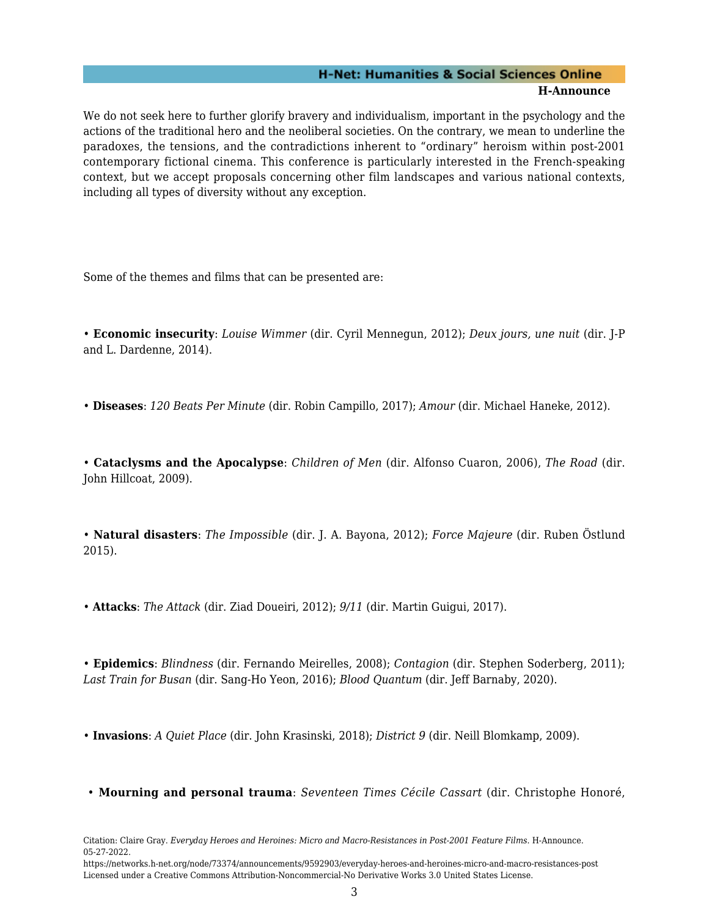We do not seek here to further glorify bravery and individualism, important in the psychology and the actions of the traditional hero and the neoliberal societies. On the contrary, we mean to underline the paradoxes, the tensions, and the contradictions inherent to "ordinary" heroism within post-2001 contemporary fictional cinema. This conference is particularly interested in the French-speaking context, but we accept proposals concerning other film landscapes and various national contexts, including all types of diversity without any exception.

Some of the themes and films that can be presented are:

• **Economic insecurity**: *Louise Wimmer* (dir. Cyril Mennegun, 2012); *Deux jours, une nuit* (dir. J-P and L. Dardenne, 2014).

• **Diseases**: *120 Beats Per Minute* (dir. Robin Campillo, 2017); *Amour* (dir. Michael Haneke, 2012).

• **Cataclysms and the Apocalypse**: *Children of Men* (dir. Alfonso Cuaron, 2006), *The Road* (dir. John Hillcoat, 2009).

• **Natural disasters**: *The Impossible* (dir. J. A. Bayona, 2012); *Force Majeure* (dir. Ruben Östlund 2015).

• **Attacks**: *The Attack* (dir. Ziad Doueiri, 2012); *9/11* (dir. Martin Guigui, 2017).

• **Epidemics**: *Blindness* (dir. Fernando Meirelles, 2008); *Contagion* (dir. Stephen Soderberg, 2011); *Last Train for Busan* (dir. Sang-Ho Yeon, 2016); *Blood Quantum* (dir. Jeff Barnaby, 2020).

• **Invasions**: *A Quiet Place* (dir. John Krasinski, 2018); *District 9* (dir. Neill Blomkamp, 2009).

• **Mourning and personal trauma**: *Seventeen Times Cécile Cassart* (dir. Christophe Honoré,

Citation: Claire Gray. *Everyday Heroes and Heroines: Micro and Macro-Resistances in Post-2001 Feature Films*. H-Announce. 05-27-2022.

https://networks.h-net.org/node/73374/announcements/9592903/everyday-heroes-and-heroines-micro-and-macro-resistances-post Licensed under a Creative Commons Attribution-Noncommercial-No Derivative Works 3.0 United States License.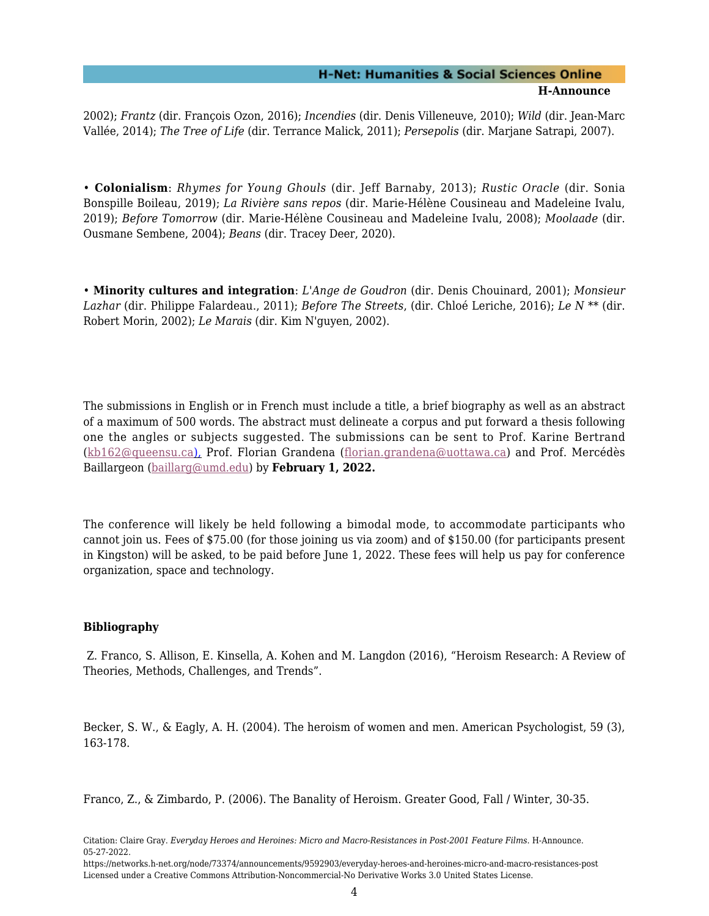2002); *Frantz* (dir. François Ozon, 2016); *Incendies* (dir. Denis Villeneuve, 2010); *Wild* (dir. Jean-Marc Vallée, 2014); *The Tree of Life* (dir. Terrance Malick, 2011); *Persepolis* (dir. Marjane Satrapi, 2007).

• **Colonialism**: *Rhymes for Young Ghouls* (dir. Jeff Barnaby, 2013); *Rustic Oracle* (dir. Sonia Bonspille Boileau, 2019); *La Rivière sans repos* (dir. Marie-Hélène Cousineau and Madeleine Ivalu, 2019); *Before Tomorrow* (dir. Marie-Hélène Cousineau and Madeleine Ivalu, 2008); *Moolaade* (dir. Ousmane Sembene, 2004); *Beans* (dir. Tracey Deer, 2020).

• **Minority cultures and integration**: *L'Ange de Goudron* (dir. Denis Chouinard, 2001); *Monsieur Lazhar* (dir. Philippe Falardeau., 2011); *Before The Streets*, (dir. Chloé Leriche, 2016); *Le N \*\** (dir. Robert Morin, 2002); *Le Marais* (dir. Kim N'guyen, 2002).

The submissions in English or in French must include a title, a brief biography as well as an abstract of a maximum of 500 words. The abstract must delineate a corpus and put forward a thesis following one the angles or subjects suggested. The submissions can be sent to Prof. Karine Bertrand ([kb162@queensu.ca](mailto:kb162@queensu.ca)), Prof. Florian Grandena ([florian.grandena@uottawa.ca\)](mailto:florian.grandena@uottawa.ca) and Prof. Mercédès Baillargeon ([baillarg@umd.edu\)](mailto:baillarg@umd.edu) by **February 1, 2022.**

The conference will likely be held following a bimodal mode, to accommodate participants who cannot join us. Fees of \$75.00 (for those joining us via zoom) and of \$150.00 (for participants present in Kingston) will be asked, to be paid before June 1, 2022. These fees will help us pay for conference organization, space and technology.

### **Bibliography**

 Z. Franco, S. Allison, E. Kinsella, A. Kohen and M. Langdon (2016), "Heroism Research: A Review of Theories, Methods, Challenges, and Trends".

Becker, S. W., & Eagly, A. H. (2004). The heroism of women and men. American Psychologist, 59 (3), 163-178.

Franco, Z., & Zimbardo, P. (2006). The Banality of Heroism. Greater Good, Fall / Winter, 30-35.

Citation: Claire Gray. *Everyday Heroes and Heroines: Micro and Macro-Resistances in Post-2001 Feature Films*. H-Announce. 05-27-2022.

https://networks.h-net.org/node/73374/announcements/9592903/everyday-heroes-and-heroines-micro-and-macro-resistances-post Licensed under a Creative Commons Attribution-Noncommercial-No Derivative Works 3.0 United States License.